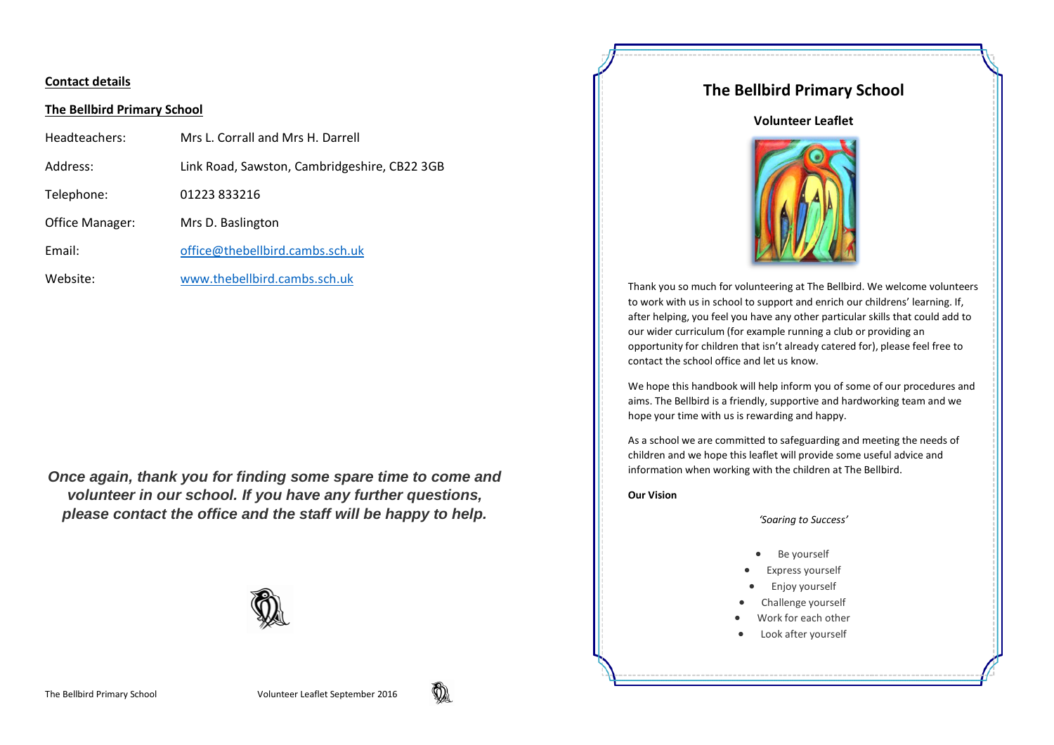### **Contact details**

#### **The Bellbird Primary School**

| Headteachers:          | Mrs L. Corrall and Mrs H. Darrell            |
|------------------------|----------------------------------------------|
| Address:               | Link Road, Sawston, Cambridgeshire, CB22 3GB |
| Telephone:             | 01223833216                                  |
| <b>Office Manager:</b> | Mrs D. Baslington                            |
| Email:                 | office@thebellbird.cambs.sch.uk              |
| Website:               | www.thebellbird.cambs.sch.uk                 |

*Once again, thank you for finding some spare time to come and volunteer in our school. If you have any further questions, please contact the office and the staff will be happy to help.*



# **The Bellbird Primary School**

#### **Volunteer Leaflet**



Thank you so much for volunteering at The Bellbird. We welcome volunteers to work with us in school to support and enrich our childrens' learning. If, after helping, you feel you have any other particular skills that could add to our wider curriculum (for example running a club or providing an opportunity for children that isn't already catered for), please feel free to contact the school office and let us know.

We hope this handbook will help inform you of some of our procedures and aims. The Bellbird is a friendly, supportive and hardworking team and we hope your time with us is rewarding and happy.

As a school we are committed to safeguarding and meeting the needs of children and we hope this leaflet will provide some useful advice and information when working with the children at The Bellbird.

**Our Vision**